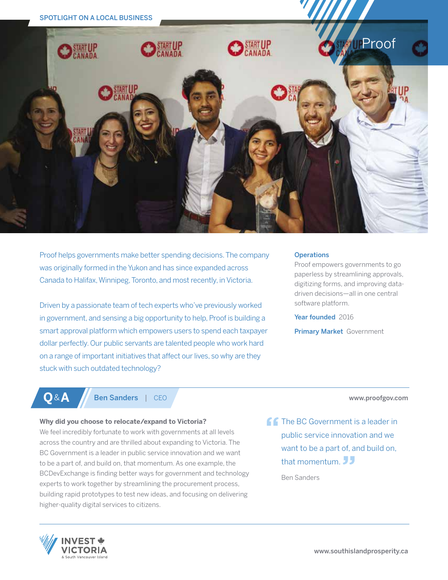

Proof helps governments make better spending decisions. The company was originally formed in the Yukon and has since expanded across Canada to Halifax, Winnipeg, Toronto, and most recently, in Victoria.

Driven by a passionate team of tech experts who've previously worked in government, and sensing a big opportunity to help, Proof is building a smart approval platform which empowers users to spend each taxpayer dollar perfectly. Our public servants are talented people who work hard on a range of important initiatives that affect our lives, so why are they stuck with such outdated technology?

#### **Operations**

Proof empowers governments to go paperless by streamlining approvals, digitizing forms, and improving datadriven decisions—all in one central software platform.

Year founded 2016

Primary Market Government

## **Q** & **A** Ben Sanders | CEO

#### **Why did you choose to relocate/expand to Victoria?**

We feel incredibly fortunate to work with governments at all levels across the country and are thrilled about expanding to Victoria. The BC Government is a leader in public service innovation and we want to be a part of, and build on, that momentum. As one example, the BCDevExchange is finding better ways for government and technology experts to work together by streamlining the procurement process, building rapid prototypes to test new ideas, and focusing on delivering higher-quality digital services to citizens.

**The BC Government is a leader in** public service innovation and we

www.proofgov.com

want to be a part of, and build on, that momentum. JJ

Ben Sanders